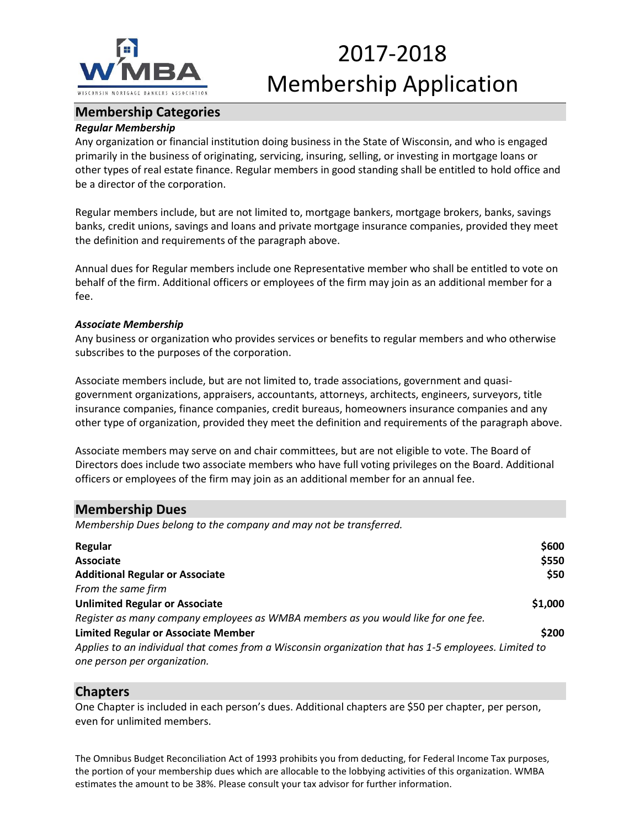

## 2017-2018 Membership Application

## **Membership Categories**

#### *Regular Membership*

Any organization or financial institution doing business in the State of Wisconsin, and who is engaged primarily in the business of originating, servicing, insuring, selling, or investing in mortgage loans or other types of real estate finance. Regular members in good standing shall be entitled to hold office and be a director of the corporation.

Regular members include, but are not limited to, mortgage bankers, mortgage brokers, banks, savings banks, credit unions, savings and loans and private mortgage insurance companies, provided they meet the definition and requirements of the paragraph above.

Annual dues for Regular members include one Representative member who shall be entitled to vote on behalf of the firm. Additional officers or employees of the firm may join as an additional member for a fee.

#### *Associate Membership*

Any business or organization who provides services or benefits to regular members and who otherwise subscribes to the purposes of the corporation.

Associate members include, but are not limited to, trade associations, government and quasigovernment organizations, appraisers, accountants, attorneys, architects, engineers, surveyors, title insurance companies, finance companies, credit bureaus, homeowners insurance companies and any other type of organization, provided they meet the definition and requirements of the paragraph above.

Associate members may serve on and chair committees, but are not eligible to vote. The Board of Directors does include two associate members who have full voting privileges on the Board. Additional officers or employees of the firm may join as an additional member for an annual fee.

### **Membership Dues**

*Membership Dues belong to the company and may not be transferred.*

| Regular                                                                                                                              | \$600   |
|--------------------------------------------------------------------------------------------------------------------------------------|---------|
| Associate                                                                                                                            | \$550   |
| <b>Additional Regular or Associate</b>                                                                                               | \$50    |
| From the same firm                                                                                                                   |         |
| <b>Unlimited Regular or Associate</b>                                                                                                | \$1,000 |
| Register as many company employees as WMBA members as you would like for one fee.                                                    |         |
| <b>Limited Regular or Associate Member</b>                                                                                           | \$200   |
| Applies to an individual that comes from a Wisconsin organization that has 1-5 employees. Limited to<br>one person per organization. |         |

#### **Chapters**

One Chapter is included in each person's dues. Additional chapters are \$50 per chapter, per person, even for unlimited members.

The Omnibus Budget Reconciliation Act of 1993 prohibits you from deducting, for Federal Income Tax purposes, the portion of your membership dues which are allocable to the lobbying activities of this organization. WMBA estimates the amount to be 38%. Please consult your tax advisor for further information.